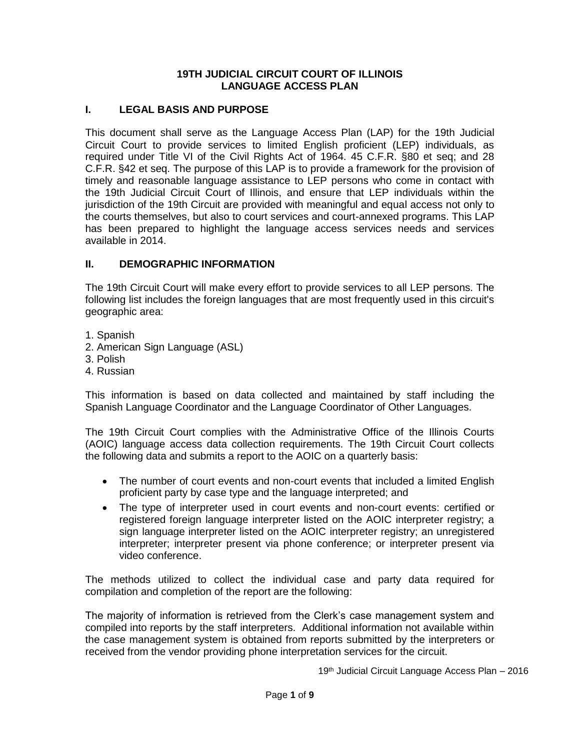### **19TH JUDICIAL CIRCUIT COURT OF ILLINOIS LANGUAGE ACCESS PLAN**

### **I. LEGAL BASIS AND PURPOSE**

This document shall serve as the Language Access Plan (LAP) for the 19th Judicial Circuit Court to provide services to limited English proficient (LEP) individuals, as required under Title VI of the Civil Rights Act of 1964. 45 C.F.R. §80 et seq; and 28 C.F.R. §42 et seq. The purpose of this LAP is to provide a framework for the provision of timely and reasonable language assistance to LEP persons who come in contact with the 19th Judicial Circuit Court of Illinois, and ensure that LEP individuals within the jurisdiction of the 19th Circuit are provided with meaningful and equal access not only to the courts themselves, but also to court services and court-annexed programs. This LAP has been prepared to highlight the language access services needs and services available in 2014.

### **II. DEMOGRAPHIC INFORMATION**

The 19th Circuit Court will make every effort to provide services to all LEP persons. The following list includes the foreign languages that are most frequently used in this circuit's geographic area:

- 1. Spanish
- 2. American Sign Language (ASL)
- 3. Polish
- 4. Russian

This information is based on data collected and maintained by staff including the Spanish Language Coordinator and the Language Coordinator of Other Languages.

The 19th Circuit Court complies with the Administrative Office of the Illinois Courts (AOIC) language access data collection requirements. The 19th Circuit Court collects the following data and submits a report to the AOIC on a quarterly basis:

- The number of court events and non-court events that included a limited English proficient party by case type and the language interpreted; and
- The type of interpreter used in court events and non-court events: certified or registered foreign language interpreter listed on the AOIC interpreter registry; a sign language interpreter listed on the AOIC interpreter registry; an unregistered interpreter; interpreter present via phone conference; or interpreter present via video conference.

The methods utilized to collect the individual case and party data required for compilation and completion of the report are the following:

The majority of information is retrieved from the Clerk's case management system and compiled into reports by the staff interpreters. Additional information not available within the case management system is obtained from reports submitted by the interpreters or received from the vendor providing phone interpretation services for the circuit.

19th Judicial Circuit Language Access Plan - 2016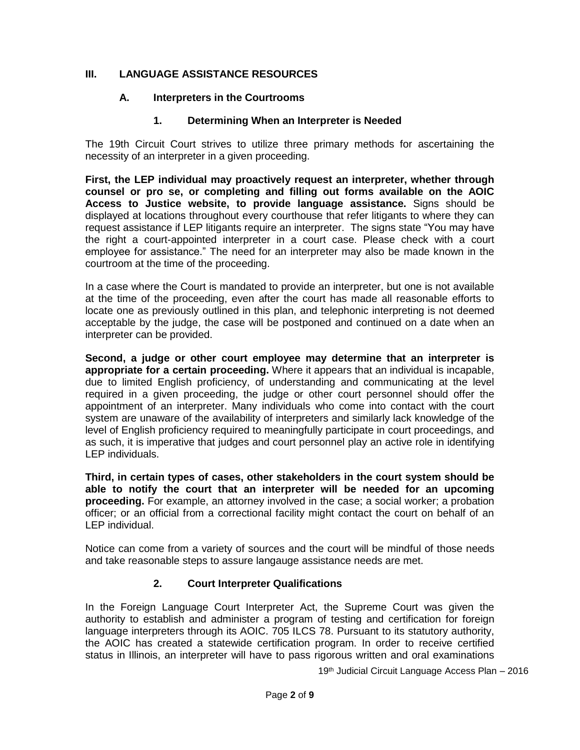## **III. LANGUAGE ASSISTANCE RESOURCES**

## **A. Interpreters in the Courtrooms**

# **1. Determining When an Interpreter is Needed**

The 19th Circuit Court strives to utilize three primary methods for ascertaining the necessity of an interpreter in a given proceeding.

**First, the LEP individual may proactively request an interpreter, whether through counsel or pro se, or completing and filling out forms available on the AOIC Access to Justice website, to provide language assistance.** Signs should be displayed at locations throughout every courthouse that refer litigants to where they can request assistance if LEP litigants require an interpreter. The signs state "You may have the right a court-appointed interpreter in a court case. Please check with a court employee for assistance." The need for an interpreter may also be made known in the courtroom at the time of the proceeding.

In a case where the Court is mandated to provide an interpreter, but one is not available at the time of the proceeding, even after the court has made all reasonable efforts to locate one as previously outlined in this plan, and telephonic interpreting is not deemed acceptable by the judge, the case will be postponed and continued on a date when an interpreter can be provided.

**Second, a judge or other court employee may determine that an interpreter is appropriate for a certain proceeding.** Where it appears that an individual is incapable, due to limited English proficiency, of understanding and communicating at the level required in a given proceeding, the judge or other court personnel should offer the appointment of an interpreter. Many individuals who come into contact with the court system are unaware of the availability of interpreters and similarly lack knowledge of the level of English proficiency required to meaningfully participate in court proceedings, and as such, it is imperative that judges and court personnel play an active role in identifying LEP individuals.

**Third, in certain types of cases, other stakeholders in the court system should be able to notify the court that an interpreter will be needed for an upcoming proceeding.** For example, an attorney involved in the case; a social worker; a probation officer; or an official from a correctional facility might contact the court on behalf of an LEP individual.

Notice can come from a variety of sources and the court will be mindful of those needs and take reasonable steps to assure langauge assistance needs are met.

# **2. Court Interpreter Qualifications**

In the Foreign Language Court Interpreter Act, the Supreme Court was given the authority to establish and administer a program of testing and certification for foreign language interpreters through its AOIC. 705 ILCS 78. Pursuant to its statutory authority, the AOIC has created a statewide certification program. In order to receive certified status in Illinois, an interpreter will have to pass rigorous written and oral examinations

19th Judicial Circuit Language Access Plan - 2016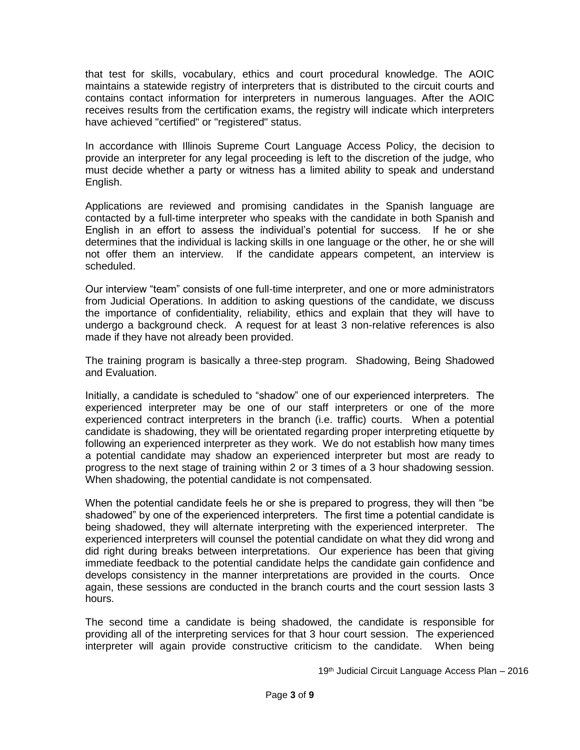that test for skills, vocabulary, ethics and court procedural knowledge. The AOIC maintains a statewide registry of interpreters that is distributed to the circuit courts and contains contact information for interpreters in numerous languages. After the AOIC receives results from the certification exams, the registry will indicate which interpreters have achieved "certified" or "registered" status.

In accordance with Illinois Supreme Court Language Access Policy, the decision to provide an interpreter for any legal proceeding is left to the discretion of the judge, who must decide whether a party or witness has a limited ability to speak and understand English.

Applications are reviewed and promising candidates in the Spanish language are contacted by a full-time interpreter who speaks with the candidate in both Spanish and English in an effort to assess the individual's potential for success. If he or she determines that the individual is lacking skills in one language or the other, he or she will not offer them an interview. If the candidate appears competent, an interview is scheduled.

Our interview "team" consists of one full-time interpreter, and one or more administrators from Judicial Operations. In addition to asking questions of the candidate, we discuss the importance of confidentiality, reliability, ethics and explain that they will have to undergo a background check. A request for at least 3 non-relative references is also made if they have not already been provided.

The training program is basically a three-step program. Shadowing, Being Shadowed and Evaluation.

Initially, a candidate is scheduled to "shadow" one of our experienced interpreters. The experienced interpreter may be one of our staff interpreters or one of the more experienced contract interpreters in the branch (i.e. traffic) courts. When a potential candidate is shadowing, they will be orientated regarding proper interpreting etiquette by following an experienced interpreter as they work. We do not establish how many times a potential candidate may shadow an experienced interpreter but most are ready to progress to the next stage of training within 2 or 3 times of a 3 hour shadowing session. When shadowing, the potential candidate is not compensated.

When the potential candidate feels he or she is prepared to progress, they will then "be shadowed" by one of the experienced interpreters. The first time a potential candidate is being shadowed, they will alternate interpreting with the experienced interpreter. The experienced interpreters will counsel the potential candidate on what they did wrong and did right during breaks between interpretations. Our experience has been that giving immediate feedback to the potential candidate helps the candidate gain confidence and develops consistency in the manner interpretations are provided in the courts. Once again, these sessions are conducted in the branch courts and the court session lasts 3 hours.

The second time a candidate is being shadowed, the candidate is responsible for providing all of the interpreting services for that 3 hour court session. The experienced interpreter will again provide constructive criticism to the candidate. When being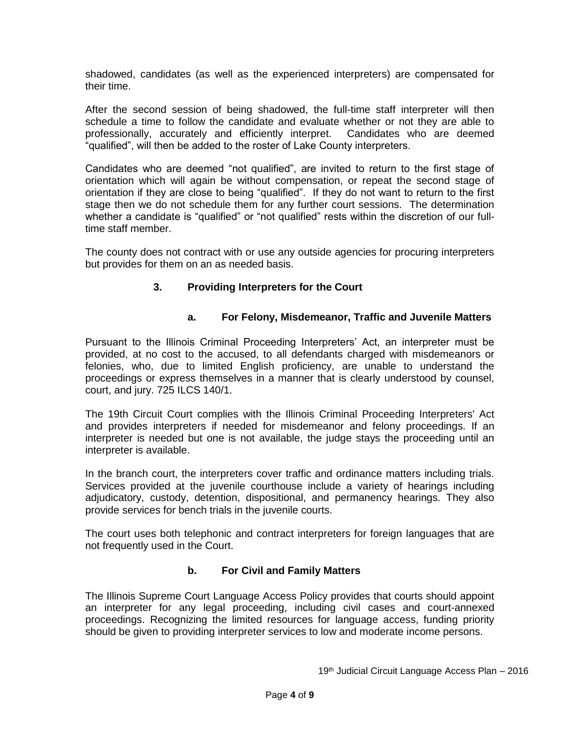shadowed, candidates (as well as the experienced interpreters) are compensated for their time.

After the second session of being shadowed, the full-time staff interpreter will then schedule a time to follow the candidate and evaluate whether or not they are able to professionally, accurately and efficiently interpret. Candidates who are deemed "qualified", will then be added to the roster of Lake County interpreters.

Candidates who are deemed "not qualified", are invited to return to the first stage of orientation which will again be without compensation, or repeat the second stage of orientation if they are close to being "qualified". If they do not want to return to the first stage then we do not schedule them for any further court sessions. The determination whether a candidate is "qualified" or "not qualified" rests within the discretion of our fulltime staff member.

The county does not contract with or use any outside agencies for procuring interpreters but provides for them on an as needed basis.

# **3. Providing Interpreters for the Court**

## **a. For Felony, Misdemeanor, Traffic and Juvenile Matters**

Pursuant to the Illinois Criminal Proceeding Interpreters' Act, an interpreter must be provided, at no cost to the accused, to all defendants charged with misdemeanors or felonies, who, due to limited English proficiency, are unable to understand the proceedings or express themselves in a manner that is clearly understood by counsel, court, and jury. 725 ILCS 140/1.

The 19th Circuit Court complies with the Illinois Criminal Proceeding Interpreters' Act and provides interpreters if needed for misdemeanor and felony proceedings. If an interpreter is needed but one is not available, the judge stays the proceeding until an interpreter is available.

In the branch court, the interpreters cover traffic and ordinance matters including trials. Services provided at the juvenile courthouse include a variety of hearings including adjudicatory, custody, detention, dispositional, and permanency hearings. They also provide services for bench trials in the juvenile courts.

The court uses both telephonic and contract interpreters for foreign languages that are not frequently used in the Court.

## **b. For Civil and Family Matters**

The Illinois Supreme Court Language Access Policy provides that courts should appoint an interpreter for any legal proceeding, including civil cases and court-annexed proceedings. Recognizing the limited resources for language access, funding priority should be given to providing interpreter services to low and moderate income persons.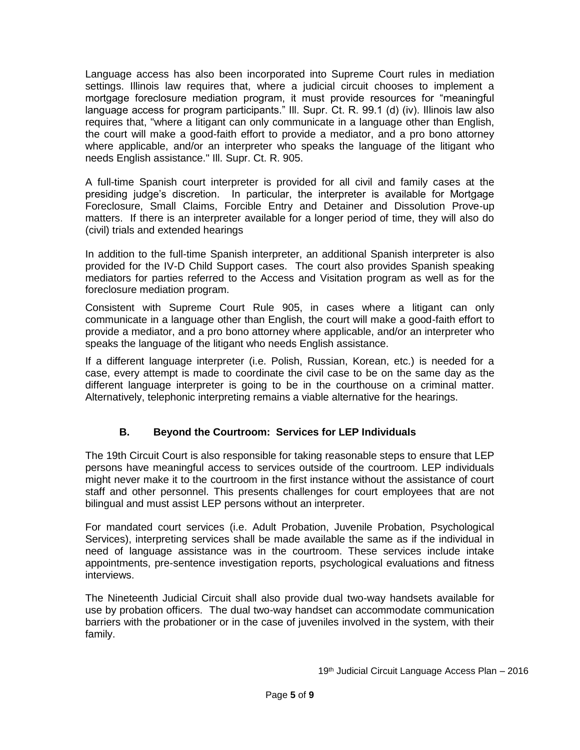Language access has also been incorporated into Supreme Court rules in mediation settings. Illinois law requires that, where a judicial circuit chooses to implement a mortgage foreclosure mediation program, it must provide resources for "meaningful language access for program participants." Ill. Supr. Ct. R. 99.1 (d) (iv). Illinois law also requires that, "where a litigant can only communicate in a language other than English, the court will make a good-faith effort to provide a mediator, and a pro bono attorney where applicable, and/or an interpreter who speaks the language of the litigant who needs English assistance." Ill. Supr. Ct. R. 905.

A full-time Spanish court interpreter is provided for all civil and family cases at the presiding judge's discretion. In particular, the interpreter is available for Mortgage Foreclosure, Small Claims, Forcible Entry and Detainer and Dissolution Prove-up matters. If there is an interpreter available for a longer period of time, they will also do (civil) trials and extended hearings

In addition to the full-time Spanish interpreter, an additional Spanish interpreter is also provided for the IV-D Child Support cases. The court also provides Spanish speaking mediators for parties referred to the Access and Visitation program as well as for the foreclosure mediation program.

Consistent with Supreme Court Rule 905, in cases where a litigant can only communicate in a language other than English, the court will make a good-faith effort to provide a mediator, and a pro bono attorney where applicable, and/or an interpreter who speaks the language of the litigant who needs English assistance.

If a different language interpreter (i.e. Polish, Russian, Korean, etc.) is needed for a case, every attempt is made to coordinate the civil case to be on the same day as the different language interpreter is going to be in the courthouse on a criminal matter. Alternatively, telephonic interpreting remains a viable alternative for the hearings.

# **B. Beyond the Courtroom: Services for LEP Individuals**

The 19th Circuit Court is also responsible for taking reasonable steps to ensure that LEP persons have meaningful access to services outside of the courtroom. LEP individuals might never make it to the courtroom in the first instance without the assistance of court staff and other personnel. This presents challenges for court employees that are not bilingual and must assist LEP persons without an interpreter.

For mandated court services (i.e. Adult Probation, Juvenile Probation, Psychological Services), interpreting services shall be made available the same as if the individual in need of language assistance was in the courtroom. These services include intake appointments, pre-sentence investigation reports, psychological evaluations and fitness interviews.

The Nineteenth Judicial Circuit shall also provide dual two-way handsets available for use by probation officers. The dual two-way handset can accommodate communication barriers with the probationer or in the case of juveniles involved in the system, with their family.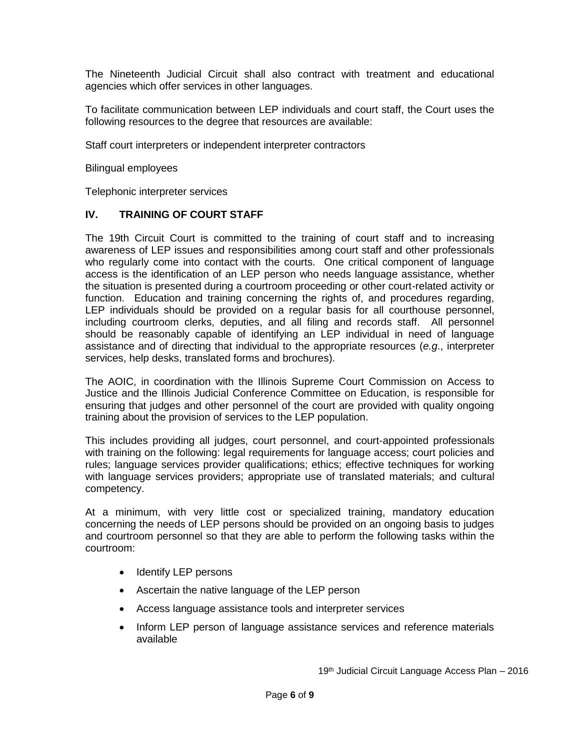The Nineteenth Judicial Circuit shall also contract with treatment and educational agencies which offer services in other languages.

To facilitate communication between LEP individuals and court staff, the Court uses the following resources to the degree that resources are available:

Staff court interpreters or independent interpreter contractors

Bilingual employees

Telephonic interpreter services

### **IV. TRAINING OF COURT STAFF**

The 19th Circuit Court is committed to the training of court staff and to increasing awareness of LEP issues and responsibilities among court staff and other professionals who regularly come into contact with the courts. One critical component of language access is the identification of an LEP person who needs language assistance, whether the situation is presented during a courtroom proceeding or other court-related activity or function. Education and training concerning the rights of, and procedures regarding, LEP individuals should be provided on a regular basis for all courthouse personnel, including courtroom clerks, deputies, and all filing and records staff. All personnel should be reasonably capable of identifying an LEP individual in need of language assistance and of directing that individual to the appropriate resources (*e.g*., interpreter services, help desks, translated forms and brochures).

The AOIC, in coordination with the Illinois Supreme Court Commission on Access to Justice and the Illinois Judicial Conference Committee on Education, is responsible for ensuring that judges and other personnel of the court are provided with quality ongoing training about the provision of services to the LEP population.

This includes providing all judges, court personnel, and court-appointed professionals with training on the following: legal requirements for language access; court policies and rules; language services provider qualifications; ethics; effective techniques for working with language services providers; appropriate use of translated materials; and cultural competency.

At a minimum, with very little cost or specialized training, mandatory education concerning the needs of LEP persons should be provided on an ongoing basis to judges and courtroom personnel so that they are able to perform the following tasks within the courtroom:

- Identify LEP persons
- Ascertain the native language of the LEP person
- Access language assistance tools and interpreter services
- Inform LEP person of language assistance services and reference materials available

19th Judicial Circuit Language Access Plan - 2016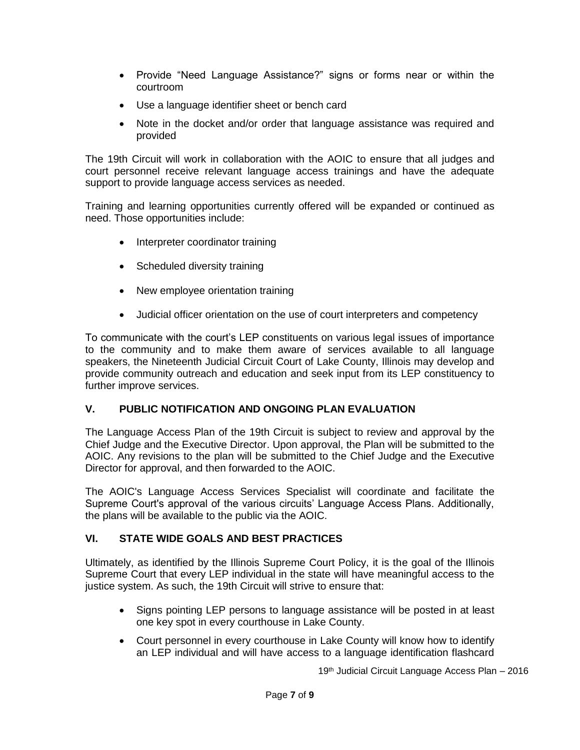- Provide "Need Language Assistance?" signs or forms near or within the courtroom
- Use a language identifier sheet or bench card
- Note in the docket and/or order that language assistance was required and provided

The 19th Circuit will work in collaboration with the AOIC to ensure that all judges and court personnel receive relevant language access trainings and have the adequate support to provide language access services as needed.

Training and learning opportunities currently offered will be expanded or continued as need. Those opportunities include:

- Interpreter coordinator training
- Scheduled diversity training
- New employee orientation training
- Judicial officer orientation on the use of court interpreters and competency

To communicate with the court's LEP constituents on various legal issues of importance to the community and to make them aware of services available to all language speakers, the Nineteenth Judicial Circuit Court of Lake County, Illinois may develop and provide community outreach and education and seek input from its LEP constituency to further improve services.

# **V. PUBLIC NOTIFICATION AND ONGOING PLAN EVALUATION**

The Language Access Plan of the 19th Circuit is subject to review and approval by the Chief Judge and the Executive Director. Upon approval, the Plan will be submitted to the AOIC. Any revisions to the plan will be submitted to the Chief Judge and the Executive Director for approval, and then forwarded to the AOIC.

The AOIC's Language Access Services Specialist will coordinate and facilitate the Supreme Court's approval of the various circuits' Language Access Plans. Additionally, the plans will be available to the public via the AOIC.

## **VI. STATE WIDE GOALS AND BEST PRACTICES**

Ultimately, as identified by the Illinois Supreme Court Policy, it is the goal of the Illinois Supreme Court that every LEP individual in the state will have meaningful access to the justice system. As such, the 19th Circuit will strive to ensure that:

- Signs pointing LEP persons to language assistance will be posted in at least one key spot in every courthouse in Lake County.
- Court personnel in every courthouse in Lake County will know how to identify an LEP individual and will have access to a language identification flashcard

19th Judicial Circuit Language Access Plan – 2016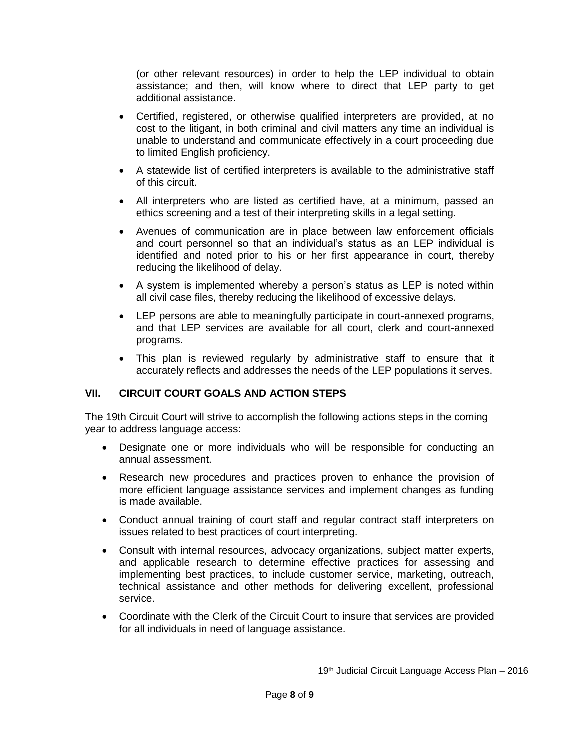(or other relevant resources) in order to help the LEP individual to obtain assistance; and then, will know where to direct that LEP party to get additional assistance.

- Certified, registered, or otherwise qualified interpreters are provided, at no cost to the litigant, in both criminal and civil matters any time an individual is unable to understand and communicate effectively in a court proceeding due to limited English proficiency.
- A statewide list of certified interpreters is available to the administrative staff of this circuit.
- All interpreters who are listed as certified have, at a minimum, passed an ethics screening and a test of their interpreting skills in a legal setting.
- Avenues of communication are in place between law enforcement officials and court personnel so that an individual's status as an LEP individual is identified and noted prior to his or her first appearance in court, thereby reducing the likelihood of delay.
- A system is implemented whereby a person's status as LEP is noted within all civil case files, thereby reducing the likelihood of excessive delays.
- LEP persons are able to meaningfully participate in court-annexed programs, and that LEP services are available for all court, clerk and court-annexed programs.
- This plan is reviewed regularly by administrative staff to ensure that it accurately reflects and addresses the needs of the LEP populations it serves.

### **VII. CIRCUIT COURT GOALS AND ACTION STEPS**

The 19th Circuit Court will strive to accomplish the following actions steps in the coming year to address language access:

- Designate one or more individuals who will be responsible for conducting an annual assessment.
- Research new procedures and practices proven to enhance the provision of more efficient language assistance services and implement changes as funding is made available.
- Conduct annual training of court staff and regular contract staff interpreters on issues related to best practices of court interpreting.
- Consult with internal resources, advocacy organizations, subject matter experts, and applicable research to determine effective practices for assessing and implementing best practices, to include customer service, marketing, outreach, technical assistance and other methods for delivering excellent, professional service.
- Coordinate with the Clerk of the Circuit Court to insure that services are provided for all individuals in need of language assistance.